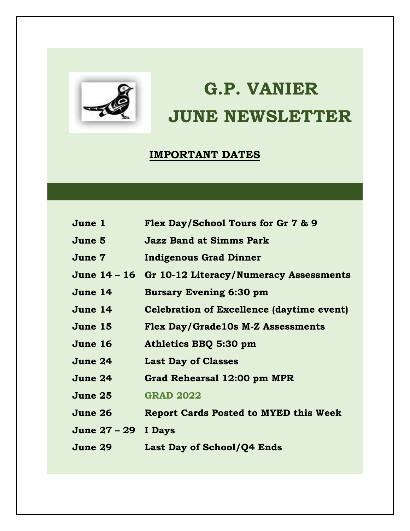

# **G.P. VANIER JUNE NEWSLETTER**

## **IMPORTANT DATES**

| June 1       | Flex Day/School Tours for Gr 7 & 9                  |
|--------------|-----------------------------------------------------|
| June 5       | <b>Jazz Band at Simms Park</b>                      |
| June 7       | <b>Indigenous Grad Dinner</b>                       |
|              | June 14 – 16 Gr 10-12 Literacy/Numeracy Assessments |
| June 14      | <b>Bursary Evening 6:30 pm</b>                      |
| June 14      | <b>Celebration of Excellence (daytime event)</b>    |
| June 15      | Flex Day/Grade10s M-Z Assessments                   |
| June 16      | Athletics BBQ 5:30 pm                               |
| June 24      | <b>Last Day of Classes</b>                          |
| June 24      | Grad Rehearsal 12:00 pm MPR                         |
| June 25      | <b>GRAD 2022</b>                                    |
| June 26      | <b>Report Cards Posted to MYED this Week</b>        |
| June 27 – 29 | I Days                                              |
| June 29      | Last Day of School/Q4 Ends                          |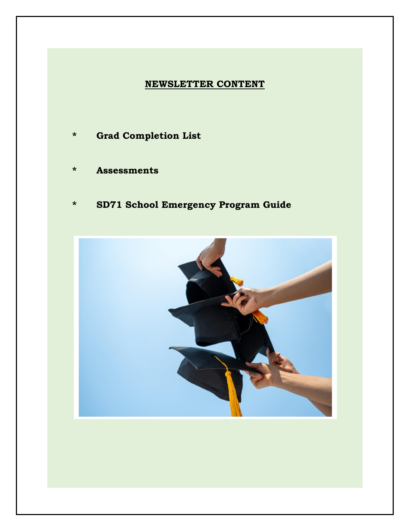### **NEWSLETTER CONTENT**

- **\* Grad Completion List**
- **\* Assessments**
- **\* SD71 School Emergency Program Guide**

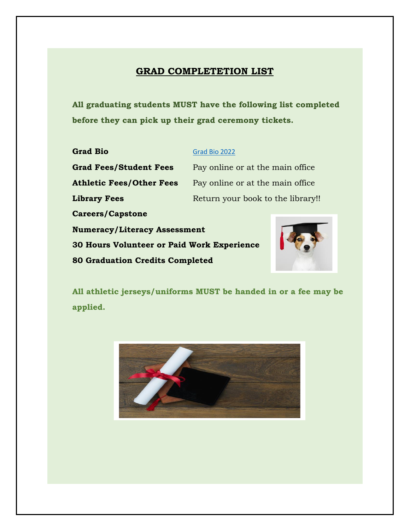## **GRAD COMPLETETION LIST**

**All graduating students MUST have the following list completed before they can pick up their grad ceremony tickets.**

| <b>Grad Bio</b>                                   | Grad Bio 2022                     |  |
|---------------------------------------------------|-----------------------------------|--|
| <b>Grad Fees/Student Fees</b>                     | Pay online or at the main office. |  |
| <b>Athletic Fees/Other Fees</b>                   | Pay online or at the main office  |  |
| <b>Library Fees</b>                               | Return your book to the library!! |  |
| <b>Careers/Capstone</b>                           |                                   |  |
| <b>Numeracy/Literacy Assessment</b>               |                                   |  |
| <b>30 Hours Volunteer or Paid Work Experience</b> |                                   |  |
| <b>80 Graduation Credits Completed</b>            |                                   |  |

**All athletic jerseys/uniforms MUST be handed in or a fee may be applied.**

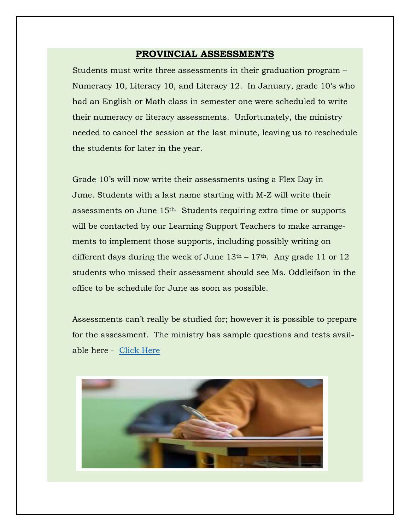#### **PROVINCIAL ASSESSMENTS**

Students must write three assessments in their graduation program – Numeracy 10, Literacy 10, and Literacy 12. In January, grade 10's who had an English or Math class in semester one were scheduled to write their numeracy or literacy assessments. Unfortunately, the ministry needed to cancel the session at the last minute, leaving us to reschedule the students for later in the year.

Grade 10's will now write their assessments using a Flex Day in June. Students with a last name starting with M-Z will write their assessments on June 15th. Students requiring extra time or supports will be contacted by our Learning Support Teachers to make arrangements to implement those supports, including possibly writing on different days during the week of June  $13<sup>th</sup> - 17<sup>th</sup>$ . Any grade 11 or 12 students who missed their assessment should see Ms. Oddleifson in the office to be schedule for June as soon as possible.

Assessments can't really be studied for; however it is possible to prepare for the assessment. The ministry has sample questions and tests available here - [Click Here](https://www2.gov.bc.ca/gov/content/education-training/k-12/support/curriculum-and-assessment/assessments/graduation)

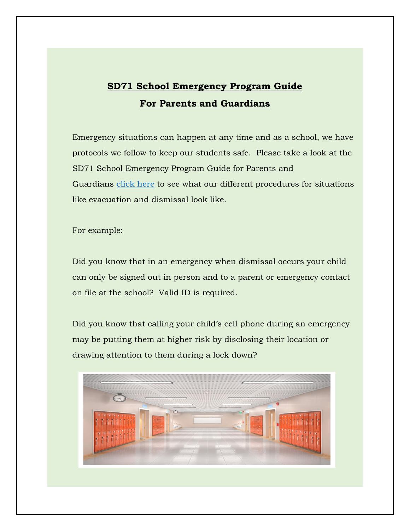# **SD71 School Emergency Program Guide For Parents and Guardians**

Emergency situations can happen at any time and as a school, we have protocols we follow to keep our students safe. Please take a look at the SD71 School Emergency Program Guide for Parents and Guardians [click here](https://learn71-my.sharepoint.com/personal/susan_quinton_sd71_bc_ca/Documents/Desktop/Comox-Valley-Parent-Emergency-Letter-2022.pdf) to see what our different procedures for situations like evacuation and dismissal look like.

For example:

Did you know that in an emergency when dismissal occurs your child can only be signed out in person and to a parent or emergency contact on file at the school? Valid ID is required.

Did you know that calling your child's cell phone during an emergency may be putting them at higher risk by disclosing their location or drawing attention to them during a lock down?